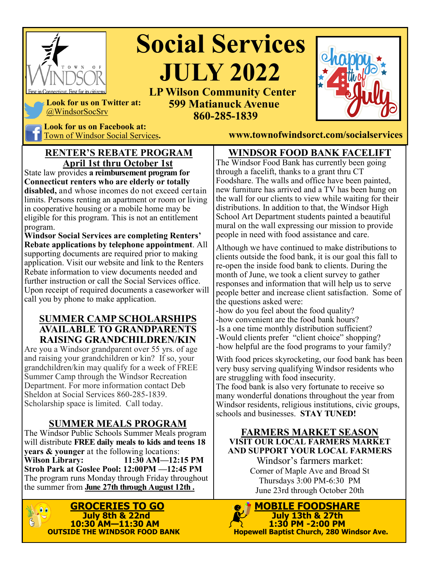

# **Social Services**  *SR* **JULY 2022 LP Wilson Community Center**

 **599 Matianuck Avenue 860-285-1839** 



**Look for us on Facebook at:**

@WindsorSocSrv

**RENTER'S REBATE PROGRAM April 1st thru October 1st**

State law provides **a reimbursement program for Connecticut renters who are elderly or totally disabled,** and whose incomes do not exceed certain limits. Persons renting an apartment or room or living in cooperative housing or a mobile home may be eligible for this program. This is not an entitlement program.

**Windsor Social Services are completing Renters' Rebate applications by telephone appointment**. All supporting documents are required prior to making application. Visit our website and link to the Renters Rebate information to view documents needed and further instruction or call the Social Services office. Upon receipt of required documents a caseworker will call you by phone to make application.

#### **SUMMER CAMP SCHOLARSHIPS AVAILABLE TO GRANDPARENTS RAISING GRANDCHILDREN/KIN**

Are you a Windsor grandparent over 55 yrs. of age and raising your grandchildren or kin? If so, your grandchildren/kin may qualify for a week of FREE Summer Camp through the Windsor Recreation Department. For more information contact Deb Sheldon at Social Services 860-285-1839. Scholarship space is limited. Call today.

### **SUMMER MEALS PROGRAM**

The Windsor Public Schools Summer Meals program will distribute **FREE daily meals to kids and teens 18 years & younger** at the following locations:<br>**Wilson Library:** 11:30 AM-12: **Wilson Library: 11:30 AM—12:15 PM Stroh Park at Goslee Pool: 12:00PM —12:45 PM** The program runs Monday through Friday throughout the summer from **June 27th through August 12th .**



Town of Windsor Social Services**. www.townofwindsorct.com/socialservices**

#### **WINDSOR FOOD BANK FACELIFT**

The Windsor Food Bank has currently been going through a facelift, thanks to a grant thru CT Foodshare. The walls and office have been painted, new furniture has arrived and a TV has been hung on the wall for our clients to view while waiting for their distributions. In addition to that, the Windsor High School Art Department students painted a beautiful mural on the wall expressing our mission to provide people in need with food assistance and care.

Although we have continued to make distributions to clients outside the food bank, it is our goal this fall to re-open the inside food bank to clients. During the month of June, we took a client survey to gather responses and information that will help us to serve people better and increase client satisfaction. Some of the questions asked were:

-how do you feel about the food quality? -how convenient are the food bank hours? -Is a one time monthly distribution sufficient? -Would clients prefer "client choice" shopping? -how helpful are the food programs to your family?

With food prices skyrocketing, our food bank has been very busy serving qualifying Windsor residents who are struggling with food insecurity.

The food bank is also very fortunate to receive so many wonderful donations throughout the year from Windsor residents, religious institutions, civic groups, schools and businesses. **STAY TUNED!**

#### **FARMERS MARKET SEASON VISIT OUR LOCAL FARMERS MARKET AND SUPPORT YOUR LOCAL FARMERS**

Windsor's farmers market: Corner of Maple Ave and Broad St Thursdays 3:00 PM-6:30 PM June 23rd through October 20th